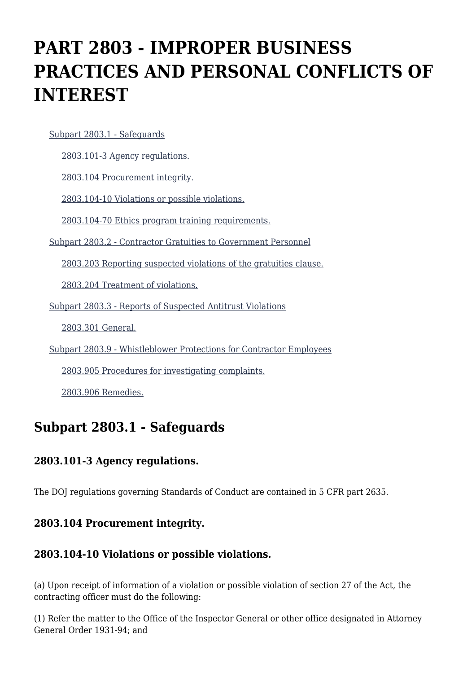# **PART 2803 - IMPROPER BUSINESS PRACTICES AND PERSONAL CONFLICTS OF INTEREST**

#### [Subpart 2803.1 - Safeguards](https://login.acquisition.gov/%5Brp:link:jar-part-2803%5D#Subpart_2803_1_T48_60116041)

[2803.101-3 Agency regulations.](https://login.acquisition.gov/%5Brp:link:jar-part-2803%5D#Section_2803_101_3_T48_6011604111)

[2803.104 Procurement integrity.](https://login.acquisition.gov/%5Brp:link:jar-part-2803%5D#Section_2803_104_T48_6011604112)

[2803.104-10 Violations or possible violations.](https://login.acquisition.gov/%5Brp:link:jar-part-2803%5D#Section_2803_104_10_T48_6011604113)

[2803.104-70 Ethics program training requirements.](https://login.acquisition.gov/%5Brp:link:jar-part-2803%5D#Section_2803_104_70_T48_6011604114)

[Subpart 2803.2 - Contractor Gratuities to Government Personnel](https://login.acquisition.gov/%5Brp:link:jar-part-2803%5D#Subpart_2803_2_T48_60116042)

[2803.203 Reporting suspected violations of the gratuities clause.](https://login.acquisition.gov/%5Brp:link:jar-part-2803%5D#Section_2803_203_T48_6011604211)

[2803.204 Treatment of violations.](https://login.acquisition.gov/%5Brp:link:jar-part-2803%5D#Section_2803_204_T48_6011604212)

[Subpart 2803.3 - Reports of Suspected Antitrust Violations](https://login.acquisition.gov/%5Brp:link:jar-part-2803%5D#Subpart_2803_3_T48_60116043)

[2803.301 General.](https://login.acquisition.gov/%5Brp:link:jar-part-2803%5D#Section_2803_301_T48_6011604311)

[Subpart 2803.9 - Whistleblower Protections for Contractor Employees](https://login.acquisition.gov/%5Brp:link:jar-part-2803%5D#Subpart_2803_9_T48_60116044)

[2803.905 Procedures for investigating complaints.](https://login.acquisition.gov/%5Brp:link:jar-part-2803%5D#Section_2803_905_T48_6011604411)

[2803.906 Remedies.](https://login.acquisition.gov/%5Brp:link:jar-part-2803%5D#Section_2803_906_T48_6011604412)

# **Subpart 2803.1 - Safeguards**

## **2803.101-3 Agency regulations.**

The DOJ regulations governing Standards of Conduct are contained in 5 CFR part 2635.

#### **2803.104 Procurement integrity.**

## **2803.104-10 Violations or possible violations.**

(a) Upon receipt of information of a violation or possible violation of section 27 of the Act, the contracting officer must do the following:

(1) Refer the matter to the Office of the Inspector General or other office designated in Attorney General Order 1931-94; and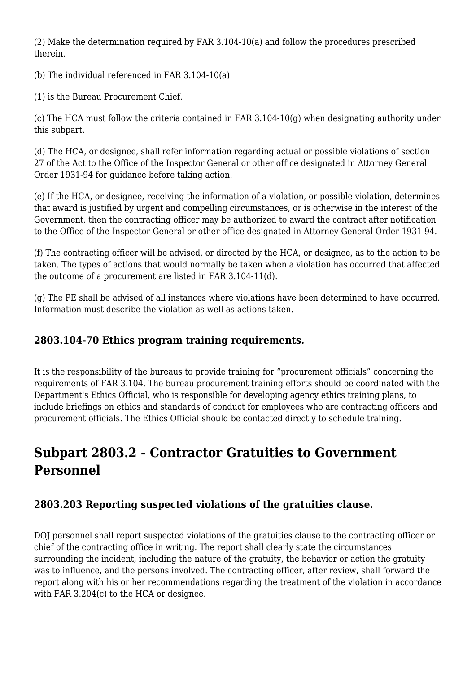(2) Make the determination required by FAR 3.104-10(a) and follow the procedures prescribed therein.

(b) The individual referenced in FAR 3.104-10(a)

(1) is the Bureau Procurement Chief.

(c) The HCA must follow the criteria contained in FAR  $3.104-10(q)$  when designating authority under this subpart.

(d) The HCA, or designee, shall refer information regarding actual or possible violations of section 27 of the Act to the Office of the Inspector General or other office designated in Attorney General Order 1931-94 for guidance before taking action.

(e) If the HCA, or designee, receiving the information of a violation, or possible violation, determines that award is justified by urgent and compelling circumstances, or is otherwise in the interest of the Government, then the contracting officer may be authorized to award the contract after notification to the Office of the Inspector General or other office designated in Attorney General Order 1931-94.

(f) The contracting officer will be advised, or directed by the HCA, or designee, as to the action to be taken. The types of actions that would normally be taken when a violation has occurred that affected the outcome of a procurement are listed in FAR 3.104-11(d).

(g) The PE shall be advised of all instances where violations have been determined to have occurred. Information must describe the violation as well as actions taken.

# **2803.104-70 Ethics program training requirements.**

It is the responsibility of the bureaus to provide training for "procurement officials" concerning the requirements of FAR 3.104. The bureau procurement training efforts should be coordinated with the Department's Ethics Official, who is responsible for developing agency ethics training plans, to include briefings on ethics and standards of conduct for employees who are contracting officers and procurement officials. The Ethics Official should be contacted directly to schedule training.

# **Subpart 2803.2 - Contractor Gratuities to Government Personnel**

# **2803.203 Reporting suspected violations of the gratuities clause.**

DOJ personnel shall report suspected violations of the gratuities clause to the contracting officer or chief of the contracting office in writing. The report shall clearly state the circumstances surrounding the incident, including the nature of the gratuity, the behavior or action the gratuity was to influence, and the persons involved. The contracting officer, after review, shall forward the report along with his or her recommendations regarding the treatment of the violation in accordance with FAR 3.204(c) to the HCA or designee.